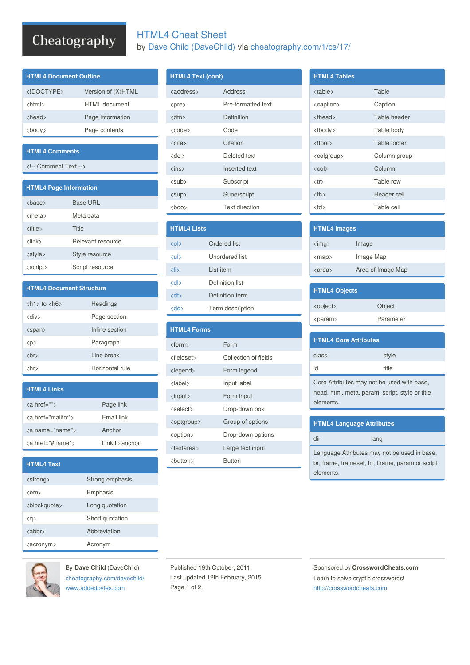## Cheatography

|  | <b>HTML4 Cheat Sheet</b> |                                                         |  |
|--|--------------------------|---------------------------------------------------------|--|
|  |                          | by Dave Child (DaveChild) via cheatography.com/1/cs/17/ |  |

| <b>HTML4 Document Outline</b> |                      |  |  |
|-------------------------------|----------------------|--|--|
|                               | Version of (X)HTML   |  |  |
| <html></html>                 | <b>HTML</b> document |  |  |
| <head></head>                 | Page information     |  |  |
| <bodv></bodv>                 | Page contents        |  |  |

#### **HTML4 Comments**

<!-- Comment Text -->

| <b>HTML4 Page Information</b> |                   |  |  |
|-------------------------------|-------------------|--|--|
| <base/>                       | <b>Base URL</b>   |  |  |
| <meta/>                       | Meta data         |  |  |
| <title></title>               | Title             |  |  |
| $\langle$ link $\rangle$      | Relevant resource |  |  |
| <style></style>               |                   |  |  |

| <b>HTML4 Document Structure</b>              |                 |  |
|----------------------------------------------|-----------------|--|
| $\langle h1 \rangle$ to $\langle h6 \rangle$ | Headings        |  |
| <div></div>                                  | Page section    |  |
| <span></span>                                | Inline section  |  |
| $<$ p>                                       | Paragraph       |  |
| $\langle$ br $\rangle$                       | I ine break     |  |
| <hr/>                                        | Horizontal rule |  |

| <b>HTML4 Links</b>     |                |
|------------------------|----------------|
| <a href=""></a>        | Page link      |
| <a href="mailto:"></a> | Fmail link     |
| <a name="name"></a>    | Anchor         |
| <a href="#name"></a>   | Link to anchor |

| <b>HTML4 Text</b>         |                 |
|---------------------------|-----------------|
| <strong></strong>         | Strong emphasis |
| $\langle$ em $\rangle$    | Emphasis        |
| <blockguote></blockguote> | Long quotation  |
| QQ                        | Short quotation |
| $\langle$ abbr $\rangle$  | Abbreviation    |
| <acronym></acronym>       | Acronym         |



By **Dave Child** (DaveChild) [cheatography.com/davechild/](http://www.cheatography.com/davechild/) [www.addedbytes.com](http://www.addedbytes.com)

### **HTML4 Text (cont)**

| <address></address>      | Address               |
|--------------------------|-----------------------|
| <pre></pre>              | Pre-formatted text    |
| $<$ dfn $>$              | Definition            |
| <code></code>            | Code                  |
| $\langle$ cite $\rangle$ | Citation              |
| $<$ del $>$              | Deleted text          |
| $\langle$ ins $\rangle$  | Inserted text         |
| <sub></sub>              | Subscript             |
| <sup></sup>              | Superscript           |
| <bdo></bdo>              | <b>Text direction</b> |

| <b>HTML4 Lists</b>     |                  |  |
|------------------------|------------------|--|
| $\langle$ ol $\rangle$ | Ordered list     |  |
| <b>cul&gt;</b>         | Unordered list   |  |
| $\langle$ li>          | List item        |  |
| $<$ dl $>$             | Definition list  |  |
| $<$ dt $>$             | Definition term  |  |
| <dd></dd>              | Term description |  |

| <b>HTML4 Forms</b>    |                      |
|-----------------------|----------------------|
| <form></form>         | Form                 |
| <fieldset></fieldset> | Collection of fields |
| <legend></legend>     | Form legend          |
| <label></label>       | Input label          |
| <input/>              | Form input           |
| <select></select>     | Drop-down box        |
| <optgroup></optgroup> | Group of options     |
| <option></option>     | Drop-down options    |
| <textarea></textarea> | Large text input     |
| <button></button>     | <b>Button</b>        |

| <b>HTML4 Tables</b>           |              |             |
|-------------------------------|--------------|-------------|
| <table></table>               | Table        |             |
| <caption></caption>           | Caption      |             |
| <thead></thead>               | Table header |             |
| <tbody></tbody>               | Table body   |             |
| <tfoot></tfoot>               | Table footer |             |
| <colgroup></colgroup>         | Column group |             |
|                               |              |             |
| $\langle$ col $\rangle$       | Column       |             |
| $<$ tr $>$                    | Table row    |             |
| <th></th>                     |              | Header cell |
| <td></td> <td>Table cell</td> |              | Table cell  |

| <b>HTML4 Images</b>     |                   |
|-------------------------|-------------------|
| $\langle$ img $\rangle$ | Image             |
| $\langle map \rangle$   | Image Map         |
| <area/>                 | Area of Image Map |
|                         |                   |

| <b>HTML4 Objects</b> |           |
|----------------------|-----------|
| <object></object>    | Object    |
| <param/>             | Parameter |
|                      |           |

| <b>HTML4 Core Attributes</b> |       |  |  |
|------------------------------|-------|--|--|
| class                        | style |  |  |
| id                           | title |  |  |

Core Attributes may not be used with base, head, html, meta, param, script, style or title elements.

| <b>HTML4 Language Attributes</b>                 |  |  |
|--------------------------------------------------|--|--|
| dir<br>lang                                      |  |  |
| Language Attributes may not be used in base,     |  |  |
| br, frame, frameset, hr, iframe, param or script |  |  |

elements.

Published 19th October, 2011. Last updated 12th February, 2015. Page 1 of 2.

Sponsored by **CrosswordCheats.com** Learn to solve cryptic crosswords! <http://crosswordcheats.com>